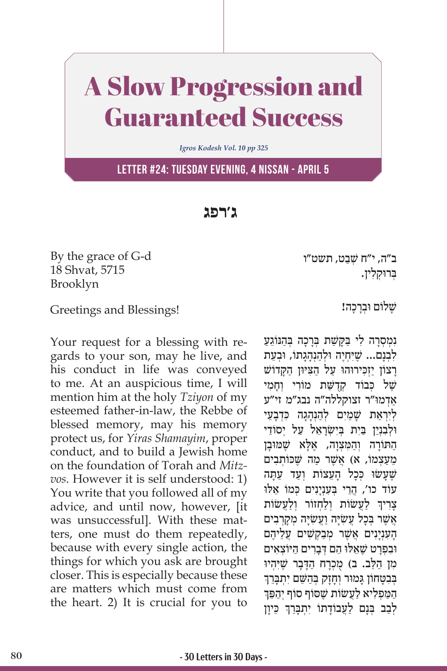## A Slow Progression and Guaranteed Success

*Igros Kodesh Vol. 10 pp 325*

**Letter #24: Tuesday Evening, 4 Nissan - April 5**

**ג'רפג**

By the grace of G-d 18 Shvat, 5715 Brooklyn

Greetings and Blessings!

Your request for a blessing with regards to your son, may he live, and his conduct in life was conveyed to me. At an auspicious time, I will mention him at the holy *Tziyon* of my esteemed father-in-law, the Rebbe of blessed memory, may his memory protect us, for *Yiras Shamayim*, proper conduct, and to build a Jewish home on the foundation of Torah and *Mitzvos*. However it is self understood: 1) You write that you followed all of my advice, and until now, however, [it was unsuccessful]. With these matters, one must do them repeatedly, because with every single action, the things for which you ask are brought closer. This is especially because these are matters which must come from the heart. 2) It is crucial for you to ב״ה, י״ח שִׁבַט, תשט״ו ַבְּרוּקלין.

שַׁלוֹם וּבְרַכָה!

נְמְסָרָה לִי בַּקַשַּׁת בְּרָכָה בְּהַנּוֹגֵעַ לְבְנַם... שֵׁיִּחְיֶה וּלְהַנְהָגְתוֹ, וּבְעֶת ַרַצוֹן יַזְכִּירוּהוּ עַל הַצִּיּוּן הַקַּדוֹשׁ שֵׁל כִּבוֹד קִדְשֵׁת מוֹרי וְחמי ַאְד ּמו"ר זצוקללה"ה נבג"מ זי"ע לְיִרְאַת שַׁמַיִם לְהַנְהָגָה כִּדְבַעֵי ּו ְל ִבְנַי ַּ ן בִי ְּ ת בִי ְשָׂרֵא ַ ל ע ְ ל י ֵסוֹ די הַתּוֹרָה וְהַמִּצְוָה, אֶלָא שֶׁמּוּבָן מֵעַצְמוֹ, א) אֲשֶׁר מַה שֵׁכּוֹתְבִים שֵׁעֲשׂוּ כִּכֵל הַעֲצוֹת וְעַד עַתָּה ְ עוֹד כו', הֲרֵי בְּעָנְיַנִים כִּמוֹ אֵלוּ ֧֧֖֖֖֖֖֖֖֧֧֚֚֚֚֚֚֚֚֝֝֬֝֓֕֓<u>֓</u> צְרִיךְ לַעֲשׂוֹת וְלַחְזוֹר וְלַעֲשׂוֹת אֲשֶׁר בְּכָל עֲשָׂיָה וַעֲשָׂיָה מְקָךְבִים הַעָנְיַנִים אֱשֶׁר מִבַקְשִׁים עֵלֵיהֶם ּו ִב ְפָרט שֶׁ ֵא ּל ּו ֵ ה ְ ּם דָבִר ַ ים ה ּי ְוֹ צ ִאים מִן הַלֵּב. ב) מֻכְרָח הַדָּבָר שֶׁיִּהְיוּ<br>בבטחוו גמור וחזק בהשם יתברד ַ בְּבְטָחוֹן גַּמוּר וְחָזָק בְּהַשֵּׁם יְתִבֲרֵך הַמַּפְלִיא לַעֲשׂוֹת שֵׁסוֹף סוֹף יִהַפֵּךְ ֧֧֖֖֖֖֖֖֖֧֧֚֚֚֚֚֚֚֚֝֝֬֝֓֕֓<u>֓</u> לְבַב בְּנָם לַעֲבוֹדָתוֹ יִתְבָּרֵךְ כֵּיוָן